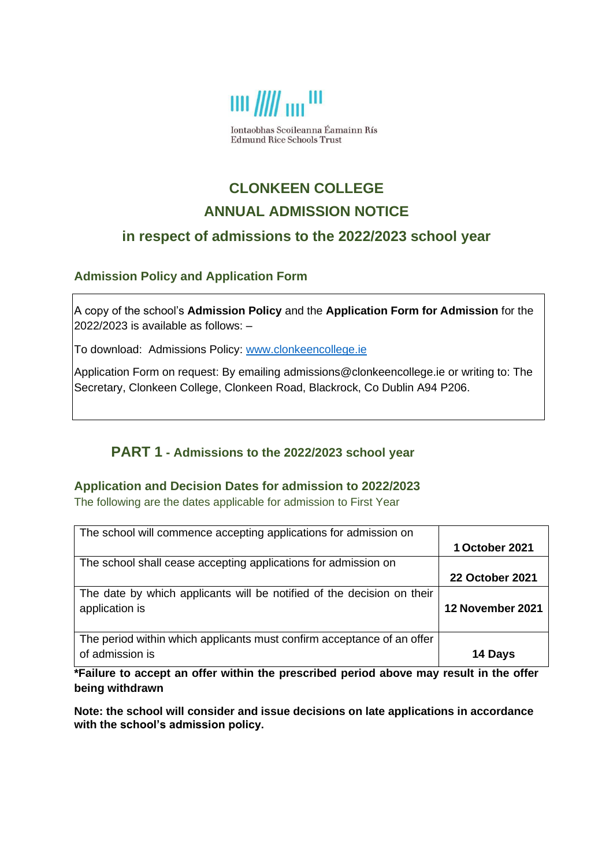

Iontaobhas Scoileanna Éamainn Rís **Edmund Rice Schools Trust** 

# **CLONKEEN COLLEGE ANNUAL ADMISSION NOTICE**

# **in respect of admissions to the 2022/2023 school year**

## **Admission Policy and Application Form**

A copy of the school's **Admission Policy** and the **Application Form for Admission** for the 2022/2023 is available as follows: –

To download: Admissions Policy: [www.clonkeencollege.ie](http://www.clonkeencollege.ie/)

Application Form on request: By emailing admissions@clonkeencollege.ie or writing to: The Secretary, Clonkeen College, Clonkeen Road, Blackrock, Co Dublin A94 P206.

## **PART 1 - Admissions to the 2022/2023 school year**

#### **Application and Decision Dates for admission to 2022/2023**

The following are the dates applicable for admission to First Year

| The school will commence accepting applications for admission on                          |                        |
|-------------------------------------------------------------------------------------------|------------------------|
|                                                                                           | 1 October 2021         |
| The school shall cease accepting applications for admission on                            |                        |
|                                                                                           | <b>22 October 2021</b> |
| The date by which applicants will be notified of the decision on their<br>application is  | 12 November 2021       |
| The period within which applicants must confirm acceptance of an offer<br>of admission is | 14 Days                |

**\*Failure to accept an offer within the prescribed period above may result in the offer being withdrawn**

**Note: the school will consider and issue decisions on late applications in accordance with the school's admission policy.**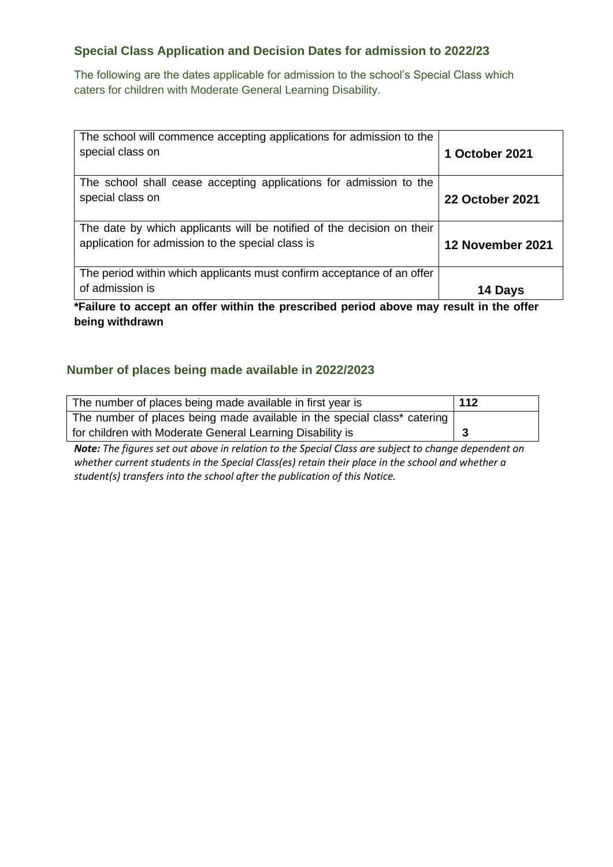## **Special Class Application and Decision Dates for admission to 2022/23**

The following are the dates applicable for admission to the school's Special Class which caters for children with Moderate General Learning Disability.

| The school will commence accepting applications for admission to the<br>special class on                                                                                            | 1 October 2021         |
|-------------------------------------------------------------------------------------------------------------------------------------------------------------------------------------|------------------------|
| The school shall cease accepting applications for admission to the<br>special class on                                                                                              | <b>22 October 2021</b> |
| The date by which applicants will be notified of the decision on their<br>application for admission to the special class is                                                         | 12 November 2021       |
| The period within which applicants must confirm acceptance of an offer<br>of admission is<br>*Eailura ta secont an effer within the prescribed period shows may result in the effer | 14 Days                |

**\*Failure to accept an offer within the prescribed period above may result in the offer being withdrawn**

## **Number of places being made available in 2022/2023**

| The number of places being made available in first year is               | 112 |
|--------------------------------------------------------------------------|-----|
| The number of places being made available in the special class* catering |     |
| for children with Moderate General Learning Disability is                |     |

*Note: The figures set out above in relation to the Special Class are subject to change dependent on whether current students in the Special Class(es) retain their place in the school and whether a student(s) transfers into the school after the publication of this Notice.*